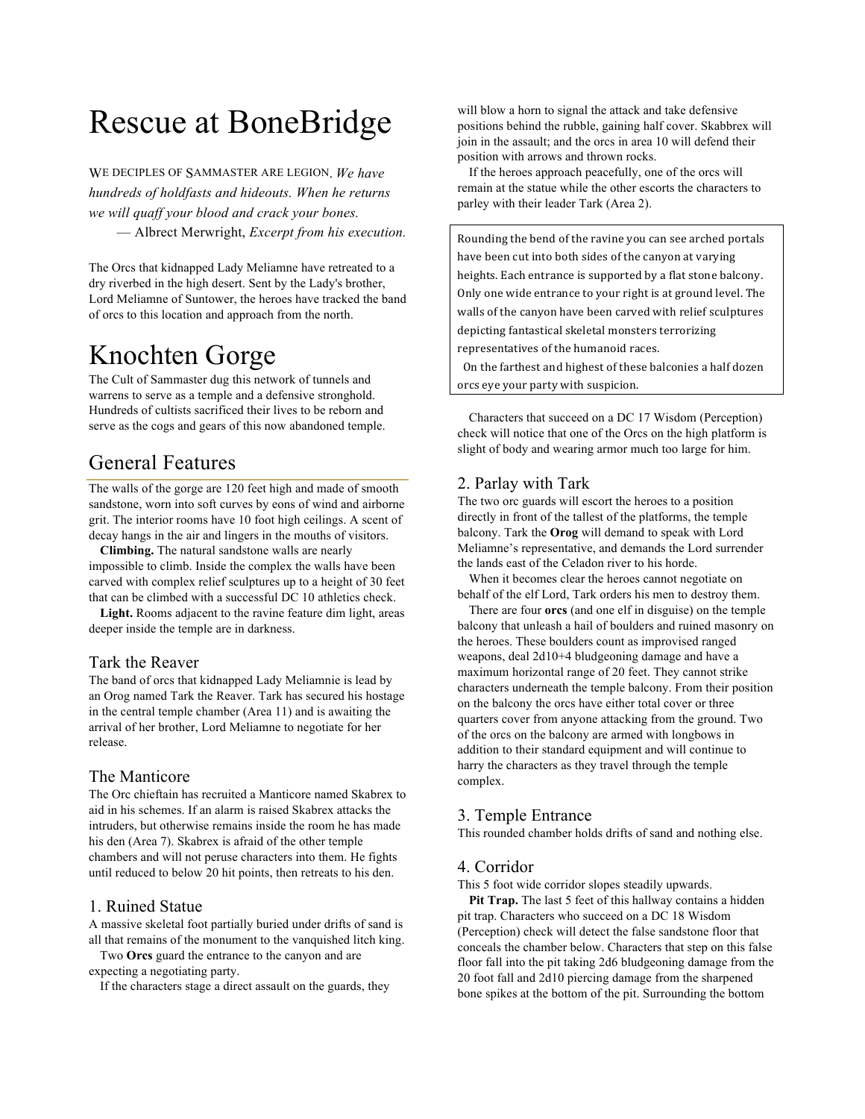# Rescue at BoneBridge

WE DECIPLES OF SAMMASTER ARE LEGION. *We have hundreds of holdfasts and hideouts. When he returns we will quaff your blood and crack your bones.* — Albrect Merwright, *Excerpt from his execution.* 

The Orcs that kidnapped Lady Meliamne have retreated to a dry riverbed in the high desert. Sent by the Lady's brother, Lord Meliamne of Suntower, the heroes have tracked the band of orcs to this location and approach from the north.

## Knochten Gorge

The Cult of Sammaster dug this network of tunnels and warrens to serve as a temple and a defensive stronghold. Hundreds of cultists sacrificed their lives to be reborn and serve as the cogs and gears of this now abandoned temple.

### General Features

The walls of the gorge are 120 feet high and made of smooth sandstone, worn into soft curves by eons of wind and airborne grit. The interior rooms have 10 foot high ceilings. A scent of decay hangs in the air and lingers in the mouths of visitors.

**Climbing.** The natural sandstone walls are nearly impossible to climb. Inside the complex the walls have been carved with complex relief sculptures up to a height of 30 feet that can be climbed with a successful DC 10 athletics check.

**Light.** Rooms adjacent to the ravine feature dim light, areas deeper inside the temple are in darkness.

#### Tark the Reaver

The band of orcs that kidnapped Lady Meliamnie is lead by an Orog named Tark the Reaver. Tark has secured his hostage in the central temple chamber (Area 11) and is awaiting the arrival of her brother, Lord Meliamne to negotiate for her release.

#### The Manticore

The Orc chieftain has recruited a Manticore named Skabrex to aid in his schemes. If an alarm is raised Skabrex attacks the intruders, but otherwise remains inside the room he has made his den (Area 7). Skabrex is afraid of the other temple chambers and will not peruse characters into them. He fights until reduced to below 20 hit points, then retreats to his den.

#### 1. Ruined Statue

A massive skeletal foot partially buried under drifts of sand is all that remains of the monument to the vanquished litch king.

Two **Orcs** guard the entrance to the canyon and are expecting a negotiating party.

If the characters stage a direct assault on the guards, they

will blow a horn to signal the attack and take defensive positions behind the rubble, gaining half cover. Skabbrex will join in the assault; and the orcs in area 10 will defend their position with arrows and thrown rocks.

If the heroes approach peacefully, one of the orcs will remain at the statue while the other escorts the characters to parley with their leader Tark (Area 2).

Rounding the bend of the ravine you can see arched portals have been cut into both sides of the canyon at varying heights. Each entrance is supported by a flat stone balcony. Only one wide entrance to your right is at ground level. The walls of the canyon have been carved with relief sculptures depicting fantastical skeletal monsters terrorizing representatives of the humanoid races.

On the farthest and highest of these balconies a half dozen orcs eye your party with suspicion.

Characters that succeed on a DC 17 Wisdom (Perception) check will notice that one of the Orcs on the high platform is slight of body and wearing armor much too large for him.

#### 2. Parlay with Tark

The two orc guards will escort the heroes to a position directly in front of the tallest of the platforms, the temple balcony. Tark the **Orog** will demand to speak with Lord Meliamne's representative, and demands the Lord surrender the lands east of the Celadon river to his horde.

When it becomes clear the heroes cannot negotiate on behalf of the elf Lord, Tark orders his men to destroy them.

There are four **orcs** (and one elf in disguise) on the temple balcony that unleash a hail of boulders and ruined masonry on the heroes. These boulders count as improvised ranged weapons, deal 2d10+4 bludgeoning damage and have a maximum horizontal range of 20 feet. They cannot strike characters underneath the temple balcony. From their position on the balcony the orcs have either total cover or three quarters cover from anyone attacking from the ground. Two of the orcs on the balcony are armed with longbows in addition to their standard equipment and will continue to harry the characters as they travel through the temple complex.

#### 3. Temple Entrance

This rounded chamber holds drifts of sand and nothing else.

#### 4. Corridor

This 5 foot wide corridor slopes steadily upwards.

**Pit Trap.** The last 5 feet of this hallway contains a hidden pit trap. Characters who succeed on a DC 18 Wisdom (Perception) check will detect the false sandstone floor that conceals the chamber below. Characters that step on this false floor fall into the pit taking 2d6 bludgeoning damage from the 20 foot fall and 2d10 piercing damage from the sharpened bone spikes at the bottom of the pit. Surrounding the bottom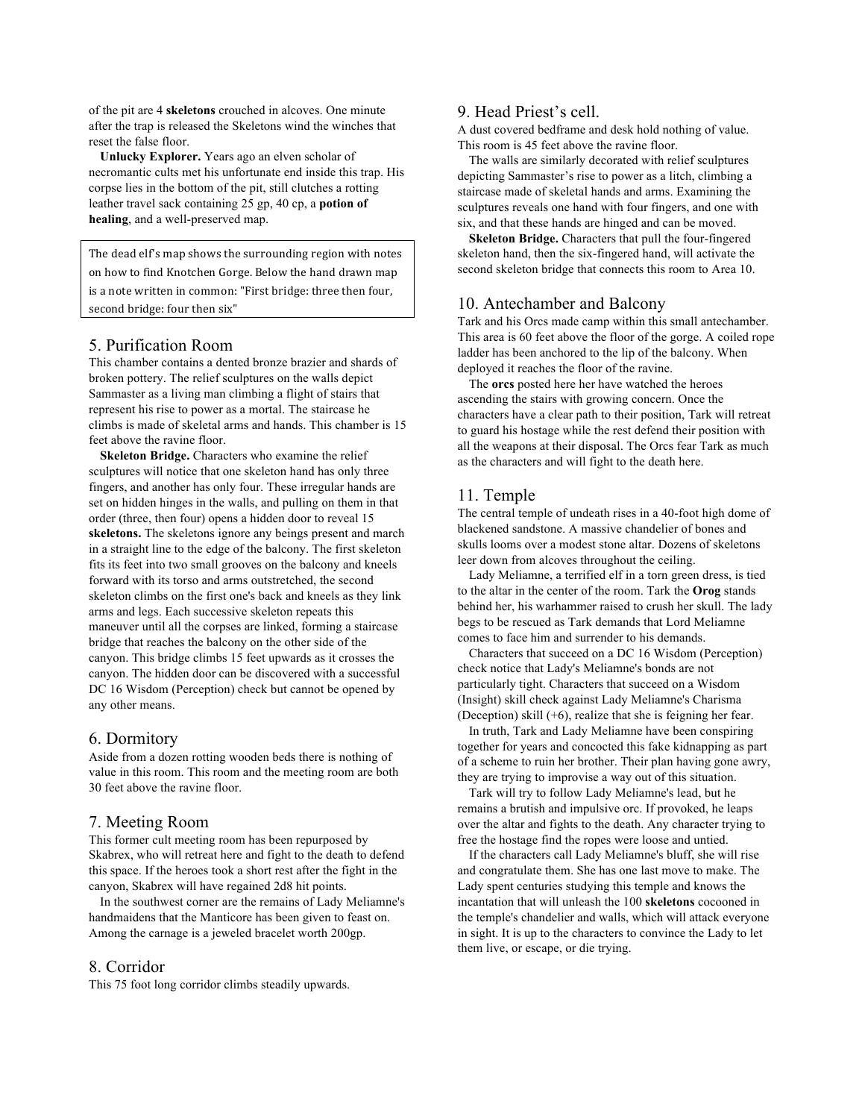of the pit are 4 **skeletons** crouched in alcoves. One minute after the trap is released the Skeletons wind the winches that reset the false floor.

**Unlucky Explorer.** Years ago an elven scholar of necromantic cults met his unfortunate end inside this trap. His corpse lies in the bottom of the pit, still clutches a rotting leather travel sack containing 25 gp, 40 cp, a **potion of healing**, and a well-preserved map.

The dead elf's map shows the surrounding region with notes on how to find Knotchen Gorge. Below the hand drawn map is a note written in common: "First bridge: three then four, second bridge: four then six"

#### 5. Purification Room

This chamber contains a dented bronze brazier and shards of broken pottery. The relief sculptures on the walls depict Sammaster as a living man climbing a flight of stairs that represent his rise to power as a mortal. The staircase he climbs is made of skeletal arms and hands. This chamber is 15 feet above the ravine floor.

**Skeleton Bridge.** Characters who examine the relief sculptures will notice that one skeleton hand has only three fingers, and another has only four. These irregular hands are set on hidden hinges in the walls, and pulling on them in that order (three, then four) opens a hidden door to reveal 15 **skeletons.** The skeletons ignore any beings present and march in a straight line to the edge of the balcony. The first skeleton fits its feet into two small grooves on the balcony and kneels forward with its torso and arms outstretched, the second skeleton climbs on the first one's back and kneels as they link arms and legs. Each successive skeleton repeats this maneuver until all the corpses are linked, forming a staircase bridge that reaches the balcony on the other side of the canyon. This bridge climbs 15 feet upwards as it crosses the canyon. The hidden door can be discovered with a successful DC 16 Wisdom (Perception) check but cannot be opened by any other means.

#### 6. Dormitory

Aside from a dozen rotting wooden beds there is nothing of value in this room. This room and the meeting room are both 30 feet above the ravine floor.

#### 7. Meeting Room

This former cult meeting room has been repurposed by Skabrex, who will retreat here and fight to the death to defend this space. If the heroes took a short rest after the fight in the canyon, Skabrex will have regained 2d8 hit points.

In the southwest corner are the remains of Lady Meliamne's handmaidens that the Manticore has been given to feast on. Among the carnage is a jeweled bracelet worth 200gp.

#### 8. Corridor

This 75 foot long corridor climbs steadily upwards.

#### 9. Head Priest's cell.

A dust covered bedframe and desk hold nothing of value. This room is 45 feet above the ravine floor.

The walls are similarly decorated with relief sculptures depicting Sammaster's rise to power as a litch, climbing a staircase made of skeletal hands and arms. Examining the sculptures reveals one hand with four fingers, and one with six, and that these hands are hinged and can be moved.

**Skeleton Bridge.** Characters that pull the four-fingered skeleton hand, then the six-fingered hand, will activate the second skeleton bridge that connects this room to Area 10.

#### 10. Antechamber and Balcony

Tark and his Orcs made camp within this small antechamber. This area is 60 feet above the floor of the gorge. A coiled rope ladder has been anchored to the lip of the balcony. When deployed it reaches the floor of the ravine.

The **orcs** posted here her have watched the heroes ascending the stairs with growing concern. Once the characters have a clear path to their position, Tark will retreat to guard his hostage while the rest defend their position with all the weapons at their disposal. The Orcs fear Tark as much as the characters and will fight to the death here.

#### 11. Temple

The central temple of undeath rises in a 40-foot high dome of blackened sandstone. A massive chandelier of bones and skulls looms over a modest stone altar. Dozens of skeletons leer down from alcoves throughout the ceiling.

Lady Meliamne, a terrified elf in a torn green dress, is tied to the altar in the center of the room. Tark the **Orog** stands behind her, his warhammer raised to crush her skull. The lady begs to be rescued as Tark demands that Lord Meliamne comes to face him and surrender to his demands.

Characters that succeed on a DC 16 Wisdom (Perception) check notice that Lady's Meliamne's bonds are not particularly tight. Characters that succeed on a Wisdom (Insight) skill check against Lady Meliamne's Charisma (Deception) skill (+6), realize that she is feigning her fear.

In truth, Tark and Lady Meliamne have been conspiring together for years and concocted this fake kidnapping as part of a scheme to ruin her brother. Their plan having gone awry, they are trying to improvise a way out of this situation.

Tark will try to follow Lady Meliamne's lead, but he remains a brutish and impulsive orc. If provoked, he leaps over the altar and fights to the death. Any character trying to free the hostage find the ropes were loose and untied.

If the characters call Lady Meliamne's bluff, she will rise and congratulate them. She has one last move to make. The Lady spent centuries studying this temple and knows the incantation that will unleash the 100 **skeletons** cocooned in the temple's chandelier and walls, which will attack everyone in sight. It is up to the characters to convince the Lady to let them live, or escape, or die trying.